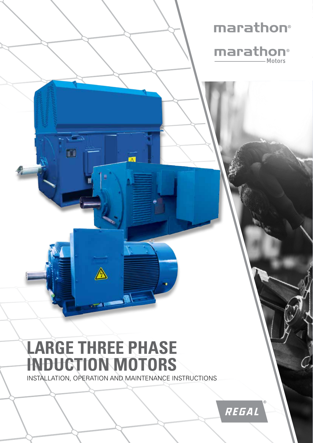# marathon®



# **LARGE THREE PHASE INDUCTION MOTORS**

 $\triangle$ 

 $\Box$ 

 $\blacksquare$ 

INSTALLATION, OPERATION AND MAINTENANCE INSTRUCTIONS

 $\overline{\mathbf{M}}$ 

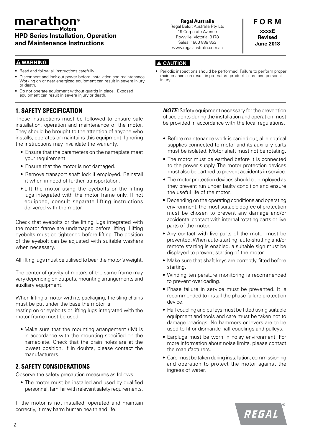# marathon®

**HPD Series Installation, Operation and Maintenance Instructions**

#### **AWARNING**

- Read and follow all instructions carefully.
- Disconnect and lock-out power before installation and maintenance. Working on or near energized equipment can result in severe injury or death.
- Do not operate equipment without guards in place. Exposed equipment can result in severe injury or death.

# **1. SAFETY SPECIFICATION**

These instructions must be followed to ensure safe installation, operation and maintenance of the motor. They should be brought to the attention of anyone who installs, operates or maintains this equipment. Ignoring the instructions may invalidate the warranty.

- Ensure that the parameters on the nameplate meet your requirement.
- Ensure that the motor is not damaged.
- Remove transport shaft lock if employed. Reinstall it when in need of further transportation.
- Lift the motor using the eyebolts or the lifting lugs integrated with the motor frame only. If not equipped, consult separate lifting instructions delivered with the motor.

Check that eyebolts or the lifting lugs integrated with the motor frame are undamaged before lifting. Lifting eyebolts must be tightened before lifting. The position of the eyebolt can be adjusted with suitable washers when necessary.

All lifting lugs must be utilised to bear the motor's weight.

The center of gravity of motors of the same frame may vary depending on outputs, mounting arrangements and auxiliary equipment.

When lifting a motor with its packaging, the sling chains must be put under the base the motor is resting on or eyebolts or lifting lugs integrated with the

motor frame must be used.

• Make sure that the mounting arrangement (IM) is in accordance with the mounting specified on the nameplate. Check that the drain holes are at the lowest position. If in doubts, please contact the manufacturers.

# **2. SAFETY CONSIDERATIONS**

Observe the safety precaution measures as follows:

• The motor must be installed and used by qualified personnel, familiar with relevant safety requirements.

If the motor is not installed, operated and maintain correctly, it may harm human health and life.

**Regal Australia** Regal Beloit Australia Pty Ltd 19 Corporate Avenue Rowville, Victoria, 3178 Sales: 1800 888 853 www.regalaustralia.com.au

**F O R M xxxxE Revised June 2018**

# **A CAUTION**

Periodic inspections should be performed. Failure to perform proper maintenance can result in premature product failure and personal injury.

*NOTE:* Safety equipment necessary for the prevention of accidents during the installation and operation must be provided in accordance with the local regulations.

- Before maintenance work is carried out, all electrical supplies connected to motor and its auxiliary parts must be isolated. Motor shaft must not be rotating.
- The motor must be earthed before it is connected to the power supply. The motor protection devices must also be earthed to prevent accidents in service.
- The motor protection devices should be employed as they prevent run under faulty condition and ensure the useful life of the motor.
- Depending on the operating conditions and operating environment, the most suitable degree of protection must be chosen to prevent any damage and/or accidental contact with internal rotating parts or live parts of the motor.
- Any contact with live parts of the motor must be prevented. When auto-starting, auto-shutting and/or remote starting is enabled, a suitable sign must be displayed to prevent starting of the motor.
- Make sure that shaft keys are correctly fitted before starting.
- Winding temperature monitoring is recommended to prevent overloading.
- Phase failure in service must be prevented. It is recommended to install the phase failure protection device.
- Half coupling and pulleys must be fitted using suitable equipment and tools and care must be taken not to damage bearings. No hammers or levers are to be used to fit or dismantle half couplings and pulleys.
- Earplugs must be worn in noisy environment. For more information about noise limits, please contact the manufacturers.
- Care must be taken during installation, commissioning and operation to protect the motor against the ingress of water.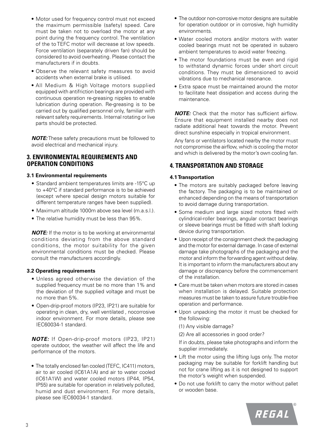- Motor used for frequency control must not exceed the maximum permissible (safety) speed. Care must be taken not to overload the motor at any point during the frequency control. The ventilation of the to TEFC motor will decrease at low speeds. Force ventilation (separately driven fan) should be considered to avoid overheating. Please contact the manufacturers if in doubts.
- Observe the relevant safety measures to avoid accidents when external brake is utilised.
- All Medium & High Voltage motors supplied equipped with antifriction bearings are provided with continuous operation re-greasing nipples to enable lubrication during operation. Re-greasing is to be carried out by qualified personnel only, familiar with relevant safety requirements. Internal rotating or live parts should be protected.

*NOTE:* These safety precautions must be followed to avoid electrical and mechanical injury.

#### **3. ENVIRONMENTAL REQUIREMENTS AND OPERATION CONDITIONS**

#### **3.1 Environmental requirements**

- Standard ambient temperatures limits are -15°C up to +40°C if standard performance is to be achieved (except where special design motors suitable for different temperature ranges have been supplied).
- Maximum altitude 1000m above sea level (m.a.s.l.).
- The relative humidity must be less than 95%.

*NOTE:* If the motor is to be working at environmental conditions deviating from the above standard conditions, the motor suitability for the given environmental conditions must be checked. Please consult the manufacturers accordingly.

#### **3.2 Operating requirements**

- Unless agreed otherwise the deviation of the supplied frequency must be no more than 1% and the deviation of the supplied voltage and must be no more than 5%.
- Open-drip-proof motors (IP23, IP21) are suitable for operating in clean, dry, well ventilated , nocorrosive indoor environment. For more details, please see IEC60034-1 standard.

*NOTE:* If Open-drip-proof motors (IP23, IP21) operate outdoor, the weather will affect the life and performance of the motors.

• The totally enclosed fan cooled (TEFC, IC411) motors, air to air cooled (IC61A1A) and air to water cooled (IC61A1W) and water cooled motors (IP44, IP54, IP55) are suitable for operation in relatively polluted, humid and dust environment. For more details, please see IEC60034-1 standard.

- The outdoor non-corrosive motor designs are suitable for operation outdoor or in corrosive, high humidity environments.
- Water cooled motors and/or motors with water cooled bearings must not be operated in subzero ambient temperatures to avoid water freezing.
- The motor foundations must be even and rigid to withstand dynamic forces under short circuit conditions. They must be dimensioned to avoid vibrations due to mechanical resonance.
- Extra space must be maintained around the motor to facilitate heat dissipation and access during the maintenance.

*NOTE:* Check that the motor has sufficient airflow. Ensure that equipment installed nearby does not radiate additional heat towards the motor. Prevent direct sunshine especially in tropical environment.

Any fans or ventilators located nearby the motor must not compromise the airflow, which is cooling the motor and which is delivered by the motor's own cooling fan.

#### **4. TRANSPORTATION AND STORAGE**

#### **4.1 Transportation**

- The motors are suitably packaged before leaving the factory. The packaging is to be maintained or enhanced depending on the means of transportation to avoid damage during transportation.
- Some medium and large sized motors fitted with cylindrical-roller bearings, angular contact bearings or sleeve bearings must be fitted with shaft locking device during transportation.
- Upon receipt of the consignment check the packaging and the motor for external damage. In case of external damage take photographs of the packaging and the motor and inform the forwarding agent without delay. It is important to inform the manufacturers about any damage or discrepancy before the commencement of the installation.
- Care must be taken when motors are stored in cases when installation is delayed. Suitable protection measures must be taken to assure future trouble-free operation and performance.
- Upon unpacking the motor it must be checked for the following:

(1) Any visible damage?

(2) Are all accessories in good order?

If in doubts, please take photographs and inform the supplier immediately.

- Lift the motor using the lifting lugs only. The motor packaging may be suitable for forklift handling but not for crane lifting as it is not designed to support the motor's weight when suspended.
- Do not use forklift to carry the motor without pallet or wooden base.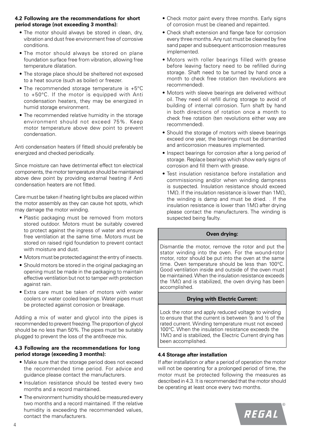#### **4.2 Following are the recommendations for short period storage (not exceeding 3 months):**

- The motor should always be stored in clean, dry, vibration and dust free environment free of corrosive conditions.
- The motor should always be stored on plane foundation surface free from vibration, allowing free temperature dilatation.
- The storage place should be sheltered not exposed to a heat source (such as boiler) or freezer.
- The recommended storage temperature is +5°C to +50°C. If the motor is equipped with Anti condensation heaters, they may be energized in humid storage environment.
- The recommended relative humidity in the storage environment should not exceed 75%. Keep motor temperature above dew point to prevent condensation.

Anti condensation heaters (if fitted) should preferably be energized and checked periodically.

Since moisture can have detrimental effect ton electrical components, the motor temperature should be maintained above dew point by providing external heating if Anti condensation heaters are not fitted.

Care must be taken if heating light bulbs are placed within the motor assembly as they can cause hot spots, which may damage the motor winding.

- Plastic packaging must be removed from motors stored outdoor. Motors must be suitably covered to protect against the ingress of water and ensure free ventilation at the same time. Motors must be stored on raised rigid foundation to prevent contact with moisture and dust.
- Motors must be protected against the entry of insects.
- Should motors be stored in the original packaging an opening must be made in the packaging to maintain effective ventilation but not to tamper with protection against rain.
- Extra care must be taken of motors with water coolers or water cooled bearings. Water pipes must be protected against corrosion or breakage.

Adding a mix of water and glycol into the pipes is recommended to prevent freezing. The proportion of glycol should be no less than 50%. The pipes must be suitably plugged to prevent the loss of the antifreeze mix.

#### **4.3 Following are the recommendations for long period storage (exceeding 3 months):**

- Make sure that the storage period does not exceed the recommended time period. For advice and guidance please contact the manufacturers.
- Insulation resistance should be tested every two months and a record maintained.
- The environment humidity should be measured every two months and a record maintained. If the relative humidity is exceeding the recommended values, contact the manufacturers.
- Check motor paint every three months. Early signs of corrosion must be cleaned and repainted.
- Check shaft extension and flange face for corrosion every three months. Any rust must be cleaned by fine sand paper and subsequent anticorrosion measures implemented.
- Motors with roller bearings filled with grease before leaving factory need to be refilled during storage. Shaft need to be turned by hand once a month to check free rotation (ten revolutions are recommended).
- Motors with sleeve bearings are delivered without oil. They need oil refill during storage to avoid of building of internal corrosion. Turn shaft by hand in both directions of rotation once a month to check free rotation (ten revolutions either way are recommended).
- Should the storage of motors with sleeve bearings exceed one year, the bearings must be dismantled and anticorrosion measures implemented.
- Inspect bearings for corrosion after a long period of storage. Replace bearings which show early signs of corrosion and fill them with grease.
- Test insulation resistance before installation and commissioning and/or when winding dampness is suspected. Insulation resistance should exceed 1MΩ. If the insulation resistance is lower than  $1MΩ$ . the winding is damp and must be dried. . If the insulation resistance is lower than 1MΩ after drying please contact the manufacturers. The winding is suspected being faulty.

#### **Oven drying:**

Dismantle the motor, remove the rotor and put the stator winding into the oven. For the wound-rotor motor, rotor should be put into the oven at the same time. Oven temperature should be less than 100°C. Good ventilation inside and outside of the oven must be maintained. When the insulation resistance exceeds the 1MΩ and is stabilized, the oven drying has been accomplished.

#### **Drying with Electric Current:**

Lock the rotor and apply reduced voltage to winding to ensure that the current is between ½ and ½ of the rated current. Winding temperature must not exceed 100°C. When the insulation resistance exceeds the 1MΩ and is stabilized, the Electric Current drying has been accomplished.

#### **4.4 Storage after installation**

If after installation or after a period of operation the motor will not be operating for a prolonged period of time, the motor must be protected following the measures as described in 4.3. It is recommended that the motor should be operating at least once every two months.

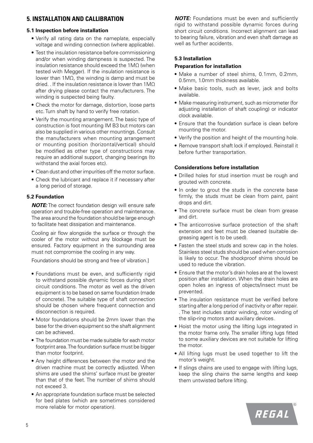#### **5. INSTALLATION AND CALLIBRATION**

#### **5.1 Inspection before installation**

- Verify all rating data on the nameplate, especially voltage and winding connection (where applicable).
- Test the insulation resistance before commissioning and/or when winding dampness is suspected. The insulation resistance should exceed the 1MΩ (when tested with Megger). If the insulation resistance is lower than 1MΩ, the winding is damp and must be dried. . If the insulation resistance is lower than 1MΩ after drying please contact the manufacturers. The winding is suspected being faulty.
- Check the motor for damage, distortion, loose parts etc. Turn shaft by hand to verify free rotation.
- Verify the mounting arrangement. The basic type of construction is foot mounting IM B3 but motors can also be supplied in various other mountings. Consult the manufacturers when mounting arrangement or mounting position (horizontal/vertical) should be modified as other type of constructions may require an additional support, changing bearings (to withstand the axial forces etc).
- Clean dust and other impurities off the motor surface.
- Check the lubricant and replace it if necessary after a long period of storage.

#### **5.2 Foundation**

*NOTE:* The correct foundation design will ensure safe operation and trouble-free operation and maintenance. The area around the foundation should be large enough to facilitate heat dissipation and maintenance.

Cooling air flow alongside the surface or through the cooler of the motor without any blockage must be ensured. Factory equipment in the surrounding area must not compromise the cooling in any way.

Foundations should be strong and free of vibration.]

- Foundations must be even, and sufficiently rigid to withstand possible dynamic forces during short circuit conditions. The motor as well as the driven equipment is to be based on same foundation (made of concrete). The suitable type of shaft connection should be chosen where frequent connection and disconnection is required.
- Motor foundations should be 2mm lower than the base for the driven equipment so the shaft alignment can be achieved.
- The foundation must be made suitable for each motor footprint area. The foundation surface must be bigger than motor footprint.
- Any height differences between the motor and the driven machine must be correctly adjusted. When shims are used the shims' surface must be greater than that of the feet. The number of shims should not exceed 3.
- An appropriate foundation surface must be selected for bed plates (which are sometimes considered more reliable for motor operation).

**NOTE:** Foundations must be even and sufficiently rigid to withstand possible dynamic forces during short circuit conditions. Incorrect alignment can lead to bearing failure, vibration and even shaft damage as well as further accidents.

#### **5.3 Installation**

#### **Preparation for installation**

- Make a number of steel shims, 0.1mm, 0.2mm, 0.5mm, 1.0mm thickness available.
- Make basic tools, such as lever, jack and bolts available.
- Make measuring instrument, such as micrometer (for adjusting installation of shaft coupling) or indicator clock available.
- Ensure that the foundation surface is clean before mounting the motor.
- Verify the position and height of the mounting hole.
- Remove transport shaft lock if employed. Reinstall it before further transportation.

#### **Considerations before installation**

- Drilled holes for stud insertion must be rough and grouted with concrete.
- In order to grout the studs in the concrete base firmly, the studs must be clean from paint, paint drops and dirt.
- The concrete surface must be clean from grease and dirt.
- The anticorrosive surface protection of the shaft extension and feet must be cleaned (suitable degreasing agent is to be used).
- Fasten the steel studs and screw cap in the holes. Stainless steel studs should be used when corrosion is likely to occur. The shockproof shims should be used to reduce the vibration.
- Ensure that the motor's drain holes are at the lowest position after installation. When the drain holes are open holes an ingress of objects/insect must be prevented.
- The insulation resistance must be verified before starting after a long period of inactivity or after repair. . The test includes stator winding, rotor winding of the slip-ring motors and auxiliary devices.
- Hoist the motor using the lifting lugs integrated in the motor frame only. The smaller lifting lugs fitted to some auxiliary devices are not suitable for lifting the motor.
- All lifting lugs must be used together to lift the motor's weight.
- If slings chains are used to engage with lifting lugs, keep the sling chains the same lengths and keep them untwisted before lifting.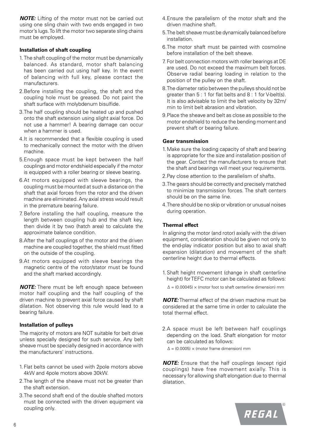*NOTE:* Lifting of the motor must not be carried out using one sling chain with two ends engaged in two motor's lugs. To lift the motor two separate sling chains must be employed.

#### **Installation of shaft coupling**

- 1. The shaft coupling of the motor must be dynamically balanced. As standard, motor shaft balancing has been carried out using half key. In the event of balancing with full key, please contact the manufacturers.
- 2.Before installing the coupling, the shaft and the coupling hole must be greased. Do not paint the shaft surface with molybdenum bisulfide.
- 3.The half coupling should be heated up and pushed onto the shaft extension using slight axial force. Do not use a hammer! A bearing damage can occur when a hammer is used.
- 4.It is recommended that a flexible coupling is used to mechanically connect the motor with the driven machine.
- 5.Enough space must be kept between the half couplings and motor endshield especially if the motor is equipped with a roller bearing or sleeve bearing.
- 6.At motors equipped with sleeve bearings, the coupling must be mounted at such a distance on the shaft that axial forces from the rotor and the driven machine are eliminated. Any axial stress would result in the premature bearing failure.
- 7. Before installing the half coupling, measure the length between coupling hub and the shaft key, then divide it by two (hatch area) to calculate the approximate balance condition.
- 8.After the half couplings of the motor and the driven machine are coupled together, the shield must fitted on the outside of the coupling.
- 9.At motors equipped with sleeve bearings the magnetic centre of the rotor/stator must be found and the shaft marked accordingly.

*NOTE:* There must be left enough space between motor half coupling and the half coupling of the driven machine to prevent axial force caused by shaft dilatation. Not observing this rule would lead to a bearing failure.

#### **Installation of pulleys**

The majority of motors are NOT suitable for belt drive unless specially designed for such service. Any belt sheave must be specially designed in accordance with the manufacturers' instructions.

- 1. Flat belts cannot be used with 2pole motors above 4kW and 4pole motors above 30kW.
- 2.The length of the sheave must not be greater than the shaft extension.
- 3.The second shaft end of the double shafted motors must be connected with the driven equipment via coupling only.
- 4.Ensure the parallelism of the motor shaft and the driven machine shaft.
- 5.The belt sheave must be dynamically balanced before installation.
- 6.The motor shaft must be painted with cosmoline before installation of the belt sheave.
- 7. For belt connection motors with roller bearings at DE are used. Do not exceed the maximum belt forces. Observe radial bearing loading in relation to the position of the pulley on the shaft.
- 8.The diameter ratio between the pulleys should not be greater than 5 : 1 for flat belts and 8 : 1 for V-belt(s). It is also advisable to limit the belt velocity by 32m/ min to limit belt abrasion and vibration.
- 9.Place the sheave and belt as close as possible to the motor endshield to reduce the bending moment and prevent shaft or bearing failure.

#### **Gear transmission**

- 1.Make sure the loading capacity of shaft and bearing is appropriate for the size and installation position of the gear. Contact the manufacturers to ensure that the shaft and bearings will meet your requirements.
- 2.Pay close attention to the parallelism of shafts.
- 3.The gears should be correctly and precisely matched to minimize transmission forces. The shaft centers should be on the same line.
- 4.There should be no skip or vibration or unusual noises during operation.

#### **Thermal effect**

In aligning the motor (and rotor) axially with the driven equipment, consideration should be given not only to the end-play indicator position but also to axial shaft expansion (dilatation) and movement of the shaft centerline height due to thermal effects.

- 1. Shaft height movement (change in shaft centerline height) for TEFC motor can be calculated as follows:
	- $\Delta = (0.00045) \times$  (motor foot to shaft centerline dimension) mm

*NOTE:* Thermal effect of the driven machine must be considered at the same time in order to calculate the total thermal effect.

- 2.A space must be left between half couplings depending on the load. Shaft elongation for motor can be calculated as follows:
	- $\Delta = (0.0005) \times$  (motor frame dimension) mm

*NOTE:* Ensure that the half couplings (except rigid couplings) have free movement axially. This is necessary for allowing shaft elongation due to thermal dilatation.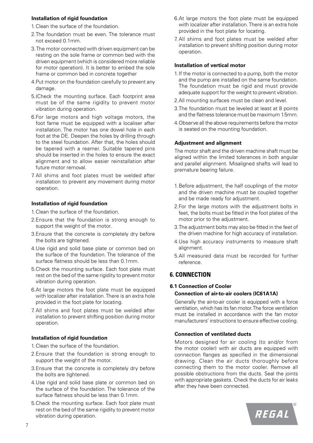#### **Installation of rigid foundation**

- 1.Clean the surface of the foundation.
- 2. The foundation must be even. The tolerance must not exceed 0.1mm.
- 3. The motor connected with driven equipment can be resting on the sole frame or common bed with the driven equipment (which is considered more reliable for motor operation). It is better to embed the sole frame or common bed in concrete together
- 4.Put motor on the foundation carefully to prevent any damage.
- 5.(Check the mounting surface. Each footprint area must be of the same rigidity to prevent motor vibration during operation.
- 6.For large motors and high voltage motors, the foot fame must be equipped with a localiser after installation. The motor has one dowel hole in each foot at the DE. Deepen the holes by drilling through to the steel foundation. After that, the holes should be tapered with a reamer. Suitable tapered pins should be inserted in the holes to ensure the exact alignment and to allow easier reinstallation after future motor removal.
- 7. All shims and foot plates must be welded after installation to prevent any movement during motor operation.

#### **Installation of rigid foundation**

- 1.Clean the surface of the foundation.
- 2.Ensure that the foundation is strong enough to support the weight of the motor.
- 3.Ensure that the concrete is completely dry before the bolts are tightened.
- 4.Use rigid and solid base plate or common bed on the surface of the foundation. The tolerance of the surface flatness should be less than 0.1mm.
- 5.Check the mounting surface. Each foot plate must rest on the bed of the same rigidity to prevent motor vibration during operation.
- 6.At large motors the foot plate must be equipped with localizer after installation. There is an extra hole provided in the foot plate for locating.
- 7. All shims and foot plates must be welded after installation to prevent shifting position during motor operation.

#### **Installation of rigid foundation**

- 1.Clean the surface of the foundation.
- 2.Ensure that the foundation is strong enough to support the weight of the motor.
- 3.Ensure that the concrete is completely dry before the bolts are tightened.
- 4.Use rigid and solid base plate or common bed on the surface of the foundation. The tolerance of the surface flatness should be less than 0.1mm.
- 5.Check the mounting surface. Each foot plate must rest on the bed of the same rigidity to prevent motor vibration during operation.
- 6.At large motors the foot plate must be equipped with localizer after installation. There is an extra hole provided in the foot plate for locating.
- 7. All shims and foot plates must be welded after installation to prevent shifting position during motor operation.

#### **Installation of vertical motor**

- 1. If the motor is connected to a pump, both the motor and the pump are installed on the same foundation. The foundation must be rigid and must provide adequate support for the weight to prevent vibration.
- 2.All mounting surfaces must be clean and level.
- 3.The foundation must be leveled at least at 8 points and the flatness tolerance must be maximum 1.5mm.
- 4.Observe all the above requirements before the motor is seated on the mounting foundation.

#### **Adjustment and alignment**

The motor shaft and the driven machine shaft must be aligned within the limited tolerances in both angular and parallel alignment. Misaligned shafts will lead to premature bearing failure.

- 1.Before adjustment, the half couplings of the motor and the driven machine must be coupled together and be made ready for adjustment.
- 2. For the large motors with the adjustment bolts in feet, the bolts must be fitted in the foot plates of the motor prior to the adjustment.
- 3.The adjustment bolts may also be fitted in the feet of the driven machine for high accuracy of installation.
- 4.Use high accuracy instruments to measure shaft alignment.
- 5.All measured data must be recorded for further reference.

#### **6. CONNECTION**

# **6.1 Connection of Cooler**

#### **Connection of air-to-air coolers (IC61A1A)**

Generally the air-to-air cooler is equipped with a force ventilation, which has its fan motor. The force ventilation must be installed in accordance with the fan motor manufacturers' instructions to ensure effective cooling.

#### **Connection of ventilated ducts**

Motors designed for air cooling (to and/or from the motor cooler) with air ducts are equipped with connection flanges as specified in the dimensional drawing. Clean the air ducts thoroughly before connecting them to the motor cooler. Remove all possible obstructions from the ducts. Seal the joints with appropriate gaskets. Check the ducts for air leaks after they have been connected.

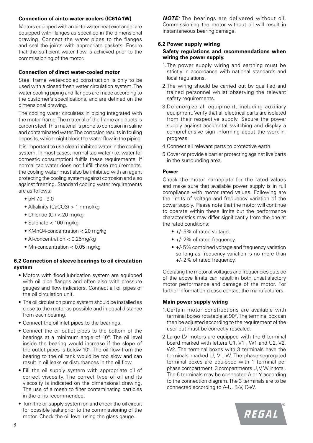#### **Connection of air-to-water coolers (IC61A1W)**

Motors equipped with an air-to-water heat exchanger are equipped with flanges as specified in the dimensional drawing. Connect the water pipes to the flanges and seal the joints with appropriate gaskets. Ensure that the sufficient water flow is achieved prior to the commissioning of the motor.

#### **Connection of direct water-cooled motor**

Steel frame water-cooled construction is only to be used with a closed fresh water circulation system. The water cooling piping and flanges are made according to the customer's specifications, and are defined on the dimensional drawing.

The cooling water circulates in piping integrated with the motor frame. The material of the frame and ducts is carbon steel. This material is prone to corrosion in saline and contaminated water. The corrosion results in fouling deposits, which might block the water flow in the piping.

It is important to use clean inhibited water in the cooling system. In most cases, normal tap water (i.e. water for domestic consumption) fulfils these requirements. If normal tap water does not fulfill these requirements, the cooling water must also be inhibited with an agent protecting the cooling system against corrosion and also against freezing. Standard cooling water requirements are as follows:

- pH 7.0 9.0
- Alkalinity (CaCO3) > 1 mmol/kg
- Chloride (Cl) < 20 mg/kg
- Sulphate < 100 mg/kg
- KMnO4-concentration < 20 mg/kg
- Al-concentration < 0.25mg/kg
- Mn-concentration < 0.05 mg/kg

#### **6.2 Connection of sleeve bearings to oil circulation system**

- Motors with flood lubrication system are equipped with oil pipe flanges and often also with pressure gauges and flow indicators. Connect all oil pipes of the oil circulation unit.
- The oil circulation pump system should be installed as close to the motor as possible and in equal distance from each bearing.
- Connect the oil inlet pipes to the bearings.
- Connect the oil outlet pipes to the bottom of the bearings at a minimum angle of 10°. The oil level inside the bearing would increase if the slope of the outlet pipes is below 10°. The oil flow from the bearing to the oil tank would be too slow and can result in oil leaks or disturbances in the oil flow.
- Fill the oil supply system with appropriate oil of correct viscosity. The correct type of oil and its viscosity is indicated on the dimensional drawing. The use of a mesh to filter contaminating particles in the oil is recommended.
- Turn the oil supply system on and check the oil circuit for possible leaks prior to the commissioning of the motor. Check the oil level using the glass gauge.

*NOTE:* The bearings are delivered without oil. Commissioning the motor without oil will result in instantaneous bearing damage.

#### **6.2 Power supply wiring Safety regulations and recommendations when wiring the power supply.**

- 1. The power supply wiring and earthing must be strictly in accordance with national standards and local regulations.
- 2.The wiring should be carried out by qualified and trained personnel whilst observing the relevant safety requirements.
- 3.De-energize all equipment, including auxiliary equipment. Verify that all electrical parts are isolated from their respective supply. Secure the power supply against accidental switching and display a comprehensive sign informing about the work-inprogress.
- 4.Connect all relevant parts to protective earth.
- 5.Cover or provide a barrier protecting against live parts in the surrounding area.

#### **Power**

Check the motor nameplate for the rated values and make sure that available power supply is in full compliance with motor rated values. Following are the limits of voltage and frequency variation of the power supply. Please note that the motor will continue to operate within these limits but the performance characteristics may differ significantly from the one at the rated conditions:

- +/- 5% of rated voltage.
- +/- 2% of rated frequency.
- +/- 5% combined voltage and frequency variation so long as frequency variation is no more than +/- 2% of rated frequency.

Operating the motor at voltages and frequencies outside of the above limits can result in both unsatisfactory motor performance and damage of the motor. For further information please contact the manufacturers.

#### **Main power supply wiring**

- 1.Certain motor constructions are available with terminal boxes rotatable at 90°. The terminal box can then be adjusted according to the requirement of the user but must be correctly resealed.
- 2.Large LV motors are equipped with the 6 terminal board marked with letters U1, V1 , W1 and U2, V2, W2. The terminal boxes with 3 terminals have the terminals marked U, V , W. The phase-segregated terminal boxes are equipped with 1 terminal per phase compartment, 3 compartments U, V, W in total. The 6 terminals may be connected ∆ or Y according to the connection diagram. The 3 terminals are to be connected according to A-U, B-V, C-W.

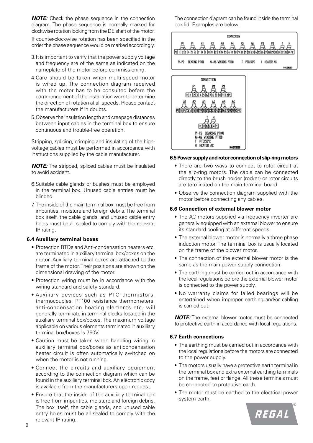**NOTE:** Check the phase sequence in the connection diagram. The phase sequence is normally marked for clockwise rotation looking from the DE shaft of the motor.

If counter-clockwise rotation has been specified in the order the phase sequence would be marked accordingly.

- 3.It is important to verify that the power supply voltage and frequency are of the same as indicated on the nameplate of the motor before commissioning.
- 4.Care should be taken when multi-speed motor is wired up. The connection diagram received with the motor has to be consulted before the commencement of the installation work to determine the direction of rotation at all speeds. Please contact the manufacturers if in doubts.
- 5.Observe the insulation length and creepage distances between input cables in the terminal box to ensure continuous and trouble-free operation.

Stripping, splicing, crimping and insulating of the highvoltage cables must be performed in accordance with instructions supplied by the cable manufacturer.

*NOTE:* The stripped, spliced cables must be insulated to avoid accident.

- 6.Suitable cable glands or bushes must be employed in the terminal box. Unused cable entries must be blinded.
- 7. The inside of the main terminal box must be free from impurities, moisture and foreign debris. The terminal box itself, the cable glands, and unused cable entry holes must be all sealed to comply with the relevant IP rating.

#### **6.4 Auxiliary terminal boxes**

- Protection RTDs and Anti-condensation heaters etc. are terminated in auxiliary terminal box/boxes on the motor. Auxiliary terminal boxes are attached to the frame of the motor. Their positions are shown on the dimensional drawing of the motor.
- Protection wiring must be in accordance with the wiring standard and safety standard.
- Auxiliary devices such as PTC thermistors, thermocouples, PT100 resistance thermometers, anti-condensation heating elements etc. will generally terminate in terminal blocks located in the auxiliary terminal box/boxes. The maximum voltage applicable on various elements terminated in auxiliary terminal box/boxes is 750V.
- Caution must be taken when handling wiring in auxiliary terminal box/boxes as anticondensation heater circuit is often automatically switched on when the motor is not running.
- Connect the circuits and auxiliary equipment according to the connection diagram which can be found in the auxiliary terminal box. An electronic copy is available from the manufacturers upon request.
- Ensure that the inside of the auxiliary terminal box is free from impurities, moisture and foreign debris. The box itself, the cable glands, and unused cable entry holes must be all sealed to comply with the relevant IP rating.

The connection diagram can be found inside the terminal box lid. Examples are below:





#### **6.5 Power supply and rotor connection of slip-ring motors**

- There are two ways to connect to rotor circuit at the slip-ring motors. The cable can be connected directly to the brush holder (rocker) or rotor circuits are terminated on the main terminal board.
- Observe the connection diagram supplied with the motor before connecting any cables.

#### **6.6 Connection of external blower motor**

- The AC motors supplied via frequency inverter are generally equipped with an external blower to ensure its standard cooling at different speeds.
- The external blower motor is normally a three phase induction motor. The terminal box is usually located on the frame of the blower motor.
- The connection of the external blower motor is the same as the main power supply connection.
- The earthing must be carried out in accordance with the local regulations before the external blower motor is connected to the power supply.
- No warranty claims for failed bearings will be entertained when improper earthing and/or cabling is carried out.

*NOTE:* The external blower motor must be connected to protective earth in accordance with local regulations.

#### **6.7 Earth connections**

- The earthing must be carried out in accordance with the local regulations before the motors are connected to the power supply.
- The motors usually have a protective earth terminal in the terminal box and extra external earthing terminals on the frame, feet or flange. All these terminals must be connected to protective earth.
- The motor must be earthed to the electrical power system earth.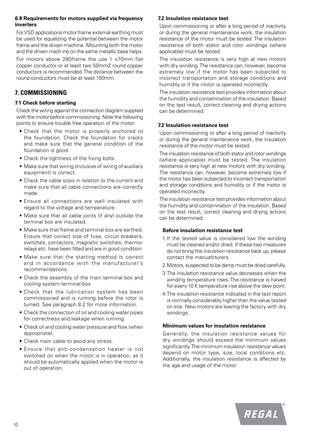#### **6.8 Requirements for motors supplied via frequency inverters**

For VSD applications motor frame external earthing must be used for equalizing the potential between the motor frame and the driven machine. Mounting both the motor and the driven mach ine on the same metallic base helps.

For motors above 280frame the use 1 x70mm flat copper conductor or at least two 50mm2 round copper conductors is recommended. The distance between the round conductors must be at least 150mm.

# **7. COMMISSIONING**

#### **7.1 Check before starting**

Check the wiring against the connection diagram supplied with the motor before commissioning. Note the following points to ensure trouble free operation of the motor:

- Check that the motor is properly anchored to the foundation. Check the foundation for cracks and make sure that the general condition of the foundation is good.
- Check the tightness of the fixing bolts.
- Make sure that wiring (inclusive of wiring of auxiliary equipment) is correct.
- Check the cable sizes in relation to the current and make sure that all cable connections are correctly made.
- Ensure all connections are well insulated with regard to the voltage and temperature.
- Make sure that all cable joints (if any) outside the terminal box are insulated.
- Make sure that frame and terminal box are earthed. Ensure that correct size of fuse, circuit breakers, switches, contactors, magnetic switches, thermorelays etc. have been fitted and are in good condition.
- Make sure that the starting method is correct and in accordance with the manufacturer's recommendations.
- Check the assembly of the main terminal box and cooling system terminal box.
- Check that the lubrication system has been commissioned and is running before the rotor is turned. See paragraph 8.2 for more information.
- Check the connection of oil and cooling water pipes for correctness and leakage when running.
- Check oil and cooling water pressure and flow (when appropriate).
- Check main cable to avoid any stress.
- Ensure that anti-condensation heater is not switched on when the motor is in operation, as it should be automatically applied when the motor is out of operation.

#### **7.2 Insulation resistance test**

Upon commissioning or after a long period of inactivity or during the general maintenance work, the insulation resistance of the motor must be tested. The insulation resistance of both stator and rotor windings (where applicable) must be tested.

The insulation resistance is very high at new motors with dry winding. The resistance can, however, become extremely low if the motor has been subjected to incorrect transportation and storage conditions and humidity or if the motor is operated incorrectly.

The insulation resistance test provides information about the humidity and contamination of the insulation. Based on the test result, correct cleaning and drying actions can be determined.

#### **7.2 Insulation resistance test**

Upon commissioning or after a long period of inactivity or during the general maintenance work, the insulation resistance of the motor must be tested.

The insulation resistance of both stator and rotor windings (where applicable) must be tested. The insulation resistance is very high at new motors with dry winding. The resistance can, however, become extremely low if the motor has been subjected to incorrect transportation and storage conditions and humidity or if the motor is operated incorrectly.

The insulation resistance test provides information about the humidity and contamination of the insulation. Based on the test result, correct cleaning and drying actions can be determined.

#### **Before insulation resistance test**

- 1. If the tested value is considered low the winding must be cleaned and/or dried. If these two measures do not bring the insulation resistance back up, please contact the manuafcturers.
- 2.Motors, suspected to be damp must be dried carefully.
- 3.The insulation resistance value decreases when the winding temperature rises. The resistance is halved for every 10 K temperature rise above the dew point.
- 4.The insulation resistance indicated in the test report is normally considerably higher than the value tested on site. New motors are leaving the factory with dry windings.

#### **Minimum values for insulation resistance**

Generally, the insulation resistance values for dry windings should exceed the minimum values significantly. The minimum insulation resistance values depend on motor type, size, local conditions etc. Additionally, the insulation resistance is affected by the age and usage of the motor.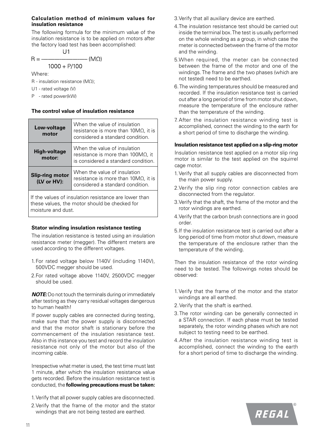#### **Calculation method of minimum values for insulation resistance**

The following formula for the minimum value of the insulation resistance is to be applied on motors after the factory load test has been accomplished:

$$
R = \frac{U1}{1000 + P/100}
$$
 (M $\Omega$ )

Where:

R - insulation resistance (MΩ);

U1 - rated voltage (V)

P - rated power(kW)

#### **The control value of insulation resistance**

| Low-voltage<br>motor                                                                                                         | When the value of insulation<br>resistance is more than $10M\Omega$ , it is<br>considered a standard condition.  |  |
|------------------------------------------------------------------------------------------------------------------------------|------------------------------------------------------------------------------------------------------------------|--|
| <b>High-voltage</b><br>motor:                                                                                                | When the value of insulation<br>resistance is more than $100M\Omega$ , it<br>is considered a standard condition. |  |
| <b>Slip-ring motor</b><br>(LV or HV):                                                                                        | When the value of insulation<br>resistance is more than $10M\Omega$ , it is<br>considered a standard condition.  |  |
| If the values of insulation resistance are lower than<br>these values, the motor should be checked for<br>moisture and dust. |                                                                                                                  |  |

#### **Stator winding insulation resistance testing**

The insulation resistance is tested using an insulation resistance meter (megger). The different meters are used according to the different voltages.

- 1. For rated voltage below 1140V (including 1140V), 500VDC megger should be used.
- 2.For rated voltage above 1140V, 2500VDC megger should be used.

*NOTE:* Do not touch the terminals during or immediately after testing as they carry residual voltages dangerous to human health!

If power supply cables are connected during testing, make sure that the power supply is disconnected and that the motor shaft is stationary before the commencement of the insulation resistance test. Also in this instance you test and record the insulation resistance not only of the motor but also of the incoming cable.

Irrespective what meter is used, the test time must last 1 minute, after which the insulation resistance value gets recorded. Before the insulation resistance test is conducted, the **following precautions must be taken:**

- 1. Verify that all power supply cables are disconnected.
- 2.Verify that the frame of the motor and the stator windings that are not being tested are earthed.
- 3.Verify that all auxiliary device are earthed.
- 4.The insulation resistance test should be carried out inside the terminal box. The test is usually performed on the whole winding as a group, in which case the meter is connected between the frame of the motor and the winding.
- 5.When required, the meter can be connected between the frame of the motor and one of the windings. The frame and the two phases (which are not tested) need to be earthed.
- 6. The winding temperatures should be measured and recorded. If the insulation resistance test is carried out after a long period of time from motor shut down, measure the temperature of the enclosure rather than the temperature of the winding.
- 7. After the insulation resistance winding test is accomplished, connect the winding to the earth for a short period of time to discharge the winding.

#### **Insulation resistance test applied on a slip-ring motor**

Insulation resistance test applied on a motor slip ring motor is similar to the test applied on the squirrel cage motor.

- 1. Verify that all supply cables are disconnected from the main power supply.
- 2.Verify the slip ring rotor connection cables are disconnected from the regulator.
- 3.Verify that the shaft, the frame of the motor and the rotor windings are earthed.
- 4.Verify that the carbon brush connections are in good order.
- 5.If the insulation resistance test is carried out after a long period of time from motor shut down, measure the temperature of the enclosure rather than the temperature of the winding.

Then the insulation resistance of the rotor winding need to be tested. The followings notes should be observed:

- 1.Verify that the frame of the motor and the stator windings are all earthed.
- 2.Verify that the shaft is earthed.
- 3.The rotor winding can be generally connected in a STAR connection. If each phase must be tested separately, the rotor winding phases which are not subject to testing need to be earthed.
- 4.After the insulation resistance winding test is accomplished, connect the winding to the earth for a short period of time to discharge the winding.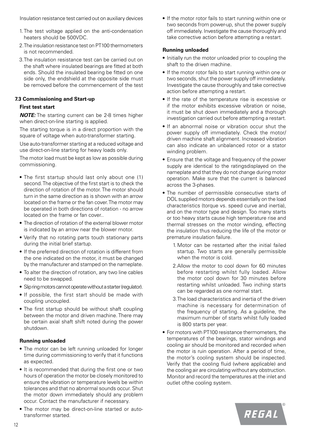Insulation resistance test carried out on auxiliary devices

- 1. The test voltage applied on the anti-condensation heaters should be 500VDC.
- 2.The insulation resistance test on PT100 thermometers is not recommended.
- 3.The insulation resistance test can be carried out on the shaft where insulated bearings are fitted at both ends. Should the insulated bearing be fitted on one side only, the endshield at the opposite side must be removed before the commencement of the test

#### **7.3 Commissioning and Start-up**

#### **First test start**

*NOTE:* The starting current can be 2-8 times higher when direct-on-line starting is applied.

The starting torque is in a direct proportion with the square of voltage when auto-transformer starting.

Use auto-transformer starting at a reduced voltage and use direct-on-line starting for heavy loads only.

The motor load must be kept as low as possible during commissioning.

- The first startup should last only about one (1) second. The objective of the first start is to check the direction of rotation of the motor. The motor should turn in the same direction as is shown with an arrow located on the frame or the fan cover. The motor may be operated in both directions of rotation - no arrow located on the frame or fan cover..
- The direction of rotation of the external blower motor is indicated by an arrow near the blower motor.
- Verify that no rotating parts touch stationary parts during the initial brief startup.
- If the preferred direction of rotation is different from the one indicated on the motor, it must be changed by the manufacturer and stamped on the nameplate.
- To alter the direction of rotation, any two line cables need to be swapped.
- Slip ring motors cannot operate without a starter (regulator).
- If possible, the first start should be made with coupling uncoupled.
- The first startup should be without shaft coupling between the motor and driven machine. There may be certain axial shaft shift noted during the power shutdown.

#### **Running unloaded**

- The motor can be left running unloaded for longer time during commissioning to verify that it functions as expected.
- It is recommended that during the first one or two hours of operation the motor be closely monitored to ensure the vibration or temperature levels be within tolerances and that no abnormal sounds occur. Shut the motor down immediately should any problem occur. Contact the manufacturer if necessary.
- The motor may be direct-on-line started or autotransformer started.

• If the motor rotor fails to start running within one or two seconds from power-up, shut the power supply off immediately. Investigate the cause thoroughly and take corrective action before attempting a restart.

#### **Running unloaded**

- Initially run the motor unloaded prior to coupling the shaft to the driven machine.
- If the motor rotor fails to start running within one or two seconds, shut the power supply off immediately. Investigate the cause thoroughly and take corrective action before attempting a restart.
- If the rate of the temperature rise is excessive or if the motor exhibits excessive vibration or noise, it must be shut down immediately and a thorough investigation carried out before attempting a restart.
- If an abnormal noise or vibration occur shut the power supply off immediately. Check the motor/ driven machine shaft alignment. Increased vibration can also indicate an unbalanced rotor or a stator winding problem.
- Ensure that the voltage and frequency of the power supply are identical to the ratingsdisplayed on the nameplate and that they do not change during motor operation. Make sure that the current is balanced across the 3-phases.
- The number of permissible consecutive starts of DOL supplied motors depends essentially on the load characteristics (torque vs. speed curve and inertia), and on the motor type and design. Too many starts or too heavy starts cause high temperature rise and thermal stresses on the motor winding, effecting the insulation thus reducing the life of the motor or premature insulation failure.
	- 1.Motor can be restarted after the initial failed startup. Two starts are generally permissible when the motor is cold.
	- 2.Allow the motor to cool down for 60 minutes before restarting whilst fully loaded. Allow the motor cool down for 30 minutes before restarting whilst unloaded. Two inching starts can be regarded as one normal start.
	- 3.The load characteristics and inertia of the driven machine is necessary for determination of the frequency of starting. As a guideline, the maximum number of starts whilst fully loaded is 800 starts per year.
- For motors with PT100 resistance thermometers, the temperatures of the bearings, stator windings and cooling air should be monitored and recorded when the motor is ruin operation. After a period of time, the motor's cooling system should be inspected. Verify that the cooling fluid (where applicable) and the cooling air are circulating without any obstruction. Monitor and record the temperatures at the inlet and outlet ofthe cooling system.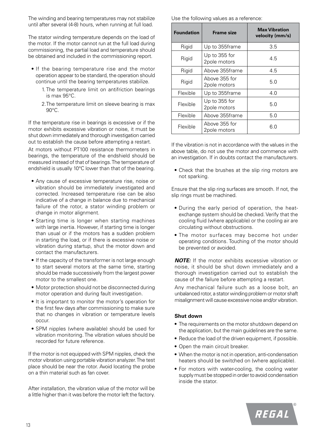The winding and bearing temperatures may not stabilize until after several (4-8) hours, when running at full load.

The stator winding temperature depends on the load of the motor. If the motor cannot run at the full load during commissioning, the partial load and temperature should be obtained and included in the commissioning report.

- If the bearing temperature rise and the motor operation appear to be standard, the operation should continue until the bearing temperatures stabilize.
	- 1. The temperature limit on antifriction bearings is max 95°C.
	- 2.The temperature limit on sleeve bearing is max 90°C.

If the temperature rise in bearings is excessive or if the motor exhibits excessive vibration or noise, it must be shut down immediately and thorough investigation carried out to establish the cause before attempting a restart.

At motors without PT100 resistance thermometers in bearings, the temperature of the endshield should be measured instead of that of bearings. The temperature of endshield is usually 10°C lower than that of the bearing.

- Any cause of excessive temperature rise, noise or vibration should be immediately investigated and corrected. Increased temperature rise can be also indicative of a change in balance due to mechanical failure of the rotor, a stator winding problem or change in motor alignment.
- Starting time is longer when starting machines with large inertia. However, if starting time is longer than usual or if the motors has a sudden problem in starting the load, or if there is excessive noise or vibration during startup, shut the motor down and contact the manufacturers.
- If the capacity of the transformer is not large enough to start several motors at the same time, starting should be made successively from the largest power motor to the smallest one.
- Motor protection should not be disconnected during motor operation and during fault investigation.
- It is important to monitor the motor's operation for the first few days after commissioning to make sure that no changes in vibration or temperature levels occur.
- SPM nipples (where available) should be used for vibration monitoring. The vibration values should be recorded for future reference.

If the motor is not equipped with SPM nipples, check the motor vibration using portable vibration analyzer. The test place should be near the rotor. Avoid locating the probe on a thin material such as fan cover.

After installation, the vibration value of the motor will be a little higher than it was before the motor left the factory.

Use the following values as a reference:

| <b>Foundation</b> | <b>Frame size</b>             | <b>Max Vibration</b><br>velocity (mm/s) |
|-------------------|-------------------------------|-----------------------------------------|
| Rigid             | Up to 355frame                | 3.5                                     |
| Rigid             | Up to 355 for<br>2pole motors | 4.5                                     |
| Rigid             | Above 355frame                | 4.5                                     |
| Rigid             | Above 355 for<br>2pole motors | 5.0                                     |
| Flexible          | Up to 355frame                | 4.0                                     |
| Flexible          | Up to 355 for<br>2pole motors | 5.0                                     |
| Flexible          | Above 355frame                | 5.0                                     |
| Flexible          | Above 355 for<br>2pole motors | 6.0                                     |

If the vibration is not in accordance with the values in the above table, do not use the motor and commence with an investigation. If in doubts contact the manufacturers.

• Check that the brushes at the slip ring motors are not sparking.

Ensure that the slip ring surfaces are smooth. If not, the slip rings must be machined.

- During the early period of operation, the heatexchange system should be checked. Verify that the cooling fluid (where applicable) or the cooling air are circulating without obstructions.
- The motor surfaces may become hot under operating conditions. Touching of the motor should be prevented or avoided.

*NOTE:* If the motor exhibits excessive vibration or noise, it should be shut down immediately and a thorough investigation carried out to establish the cause of the failure before attempting a restart.

Any mechanical failure such as a loose bolt, an unbalanced rotor, a stator winding problem or motor shaft misalignment will cause excessive noise and/or vibration.

#### **Shut down**

- The requirements on the motor shutdown depend on the application, but the main guidelines are the same.
- Reduce the load of the driven equipment, if possible.
- Open the main circuit breaker.
- When the motor is not in operation, anti-condensation heaters should be switched on (where applicable).
- For motors with water-cooling, the cooling water supply must be stopped in order to avoid condensation inside the stator.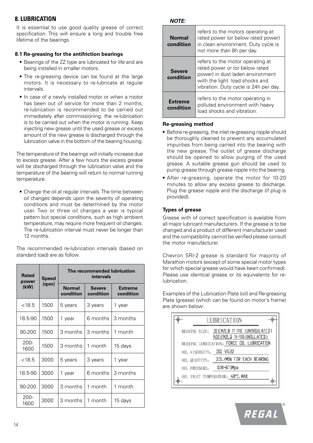## **8. LUBRICATION**

It is essential to use good quality grease of correct specification. This will ensure a long and trouble free lifetime of the bearings.

#### **8.1 Re-greasing for the antifriction bearings**

- Bearings of the ZZ type are lubricated for life and are being installed in smaller motors.
- The re-greasing device can be found at the large motors. It is necessary to re-lubricate at regular intervals.
- In case of a newly installed motor or when a motor has been out of service for more than 2 months. re-lubrication is recommended to be carried out immediately after commissioning. the re-lubrication is to be carried out when the motor is running. Keep injecting new grease until the used grease or excess amount of the new grease is discharged through the lubrication valve in the bottom of the bearing housing.

The temperature of the bearings will initially increase due to excess grease. After a few hours the excess grease will be discharged through the lubrication valve and the temperature of the bearing will return to normal running temperature.

• Change the oil at regular intervals. The time between oil changes depends upon the severity of operating conditions and must be determined by the motor user. Two or three oil changes a year is typical pattern but special conditions, such as high ambient temperature, may require more frequent oil changes. The re-lubrication interval must never be longer than 12 months.

The recommended re-lubrication intervals (based on standard load) are as follow.

| <b>Rated</b><br>power | <b>Speed</b> |                            | The recommended lubrication<br>intervals |                             |
|-----------------------|--------------|----------------------------|------------------------------------------|-----------------------------|
| (rpm)<br>(kW)         |              | <b>Normal</b><br>condition | <b>Severe</b><br>condition               | <b>Extreme</b><br>condition |
| < 18.5                | 1500         | 5 years                    | 3 years                                  | 1 year                      |
| 18.5-90               | 1500         | 1 year                     | 6 months                                 | 3 months                    |
| 90-200                | 1500         | 3 months                   | 3 months                                 | 1 month                     |
| $200 -$<br>1600       | 1500         | 3 months                   | 1 month                                  | 15 days                     |
| < 18.5                | 3000         | 5 years                    | 3 years                                  | 1 year                      |
| 18.5-90               | 3000         | 1 year                     | 6 months                                 | 3 months                    |
| 90-200                | 3000         | 3 months                   | 1 month                                  | 1 month                     |
| $200 -$<br>1600       | 3000         | 3 months                   | 1 month                                  | 15 days                     |

*NOTE:*

| refers to the motors operating at<br>rated power (or below rated power)<br><b>Normal</b><br>in clean environment. Duty cycle is<br>condition<br>not more than 8h per day. |                                                                                                                                                                                   |  |
|---------------------------------------------------------------------------------------------------------------------------------------------------------------------------|-----------------------------------------------------------------------------------------------------------------------------------------------------------------------------------|--|
| <b>Severe</b><br>condition                                                                                                                                                | refers to the motor operating at<br>rated power or (or below rated<br>power) in dust laden environment<br>with the light load shocks and<br>vibration. Duty cycle is 24h per day. |  |
| <b>Extreme</b><br>condition                                                                                                                                               | refers to the motor operating in<br>polluted environment with heavy<br>load shocks and vibration.                                                                                 |  |

#### **Re-greasing method**

- Before re-greasing, the inlet re-greasing nipple should be thoroughly cleaned to prevent any accumulated impurities from being carried into the bearing with the new grease. The outlet of grease discharge should be opened to allow purging of the used grease. A suitable grease gun should be used to pump grease through grease nipple into the bearing.
- After re-greasing, operate the motor for 10-20 minutes to allow any excess grease to discharge. Plug the grease nipple and the discharge (if plug is provided).

#### **Types of grease**

Grease with of correct specification is available from all major lubricant manufacturers. If the grease is to be changed and a product of different manufacturer used and the compatibility cannot be verified please consult the motor manufacturer.

Chevron SRI-2 grease is standard for majority of Marathon motors (except of some special motor types for which special grease would have been confirmed). Please use identical grease or its equivalents for relubrication.

Examples of the Lubrication Plate (oil) and Re-greasing Plate (grease) (which can be found on motor's frame) are shown below:

| LUBRICATION                                                                                                                          |  |  |  |
|--------------------------------------------------------------------------------------------------------------------------------------|--|--|--|
| BEARING SIZE: DEEMZLB 11-110 CUNINSULATED><br>NDEEMZLQ 11-110 <insulated><br/>BEARING LUBRICATION: FURCE OIL LUBRICATION</insulated> |  |  |  |
| OIL VISCOSITY: ISD VG32                                                                                                              |  |  |  |
| 2.5L/MIN FOR EACH BEARING<br>OIL QUANTITY:                                                                                           |  |  |  |
| 0.10~0.13Mpa<br>OIL PRESSURE:                                                                                                        |  |  |  |
| OIL INLET TEMPERATURE: 48°C. MAX                                                                                                     |  |  |  |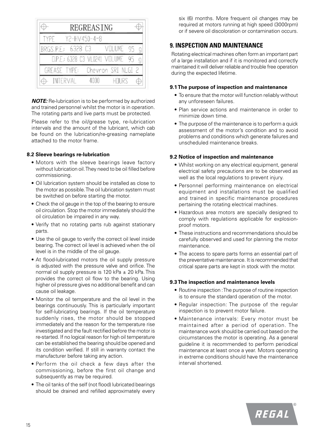| REGREASING                    |                    |
|-------------------------------|--------------------|
| Y2-HV450-4~8<br>TYPE          |                    |
| BRGS.P.E.: 6328 C3            | VOLUME             |
| D.P.E.: 6328 C3 VL0241 VOLUME |                    |
| GREASE TYPE:                  | Chevron SRI NLGI 2 |
| INTERVAL<br>4000              | HTURS              |

*NOTE:* Re-lubrication is to be performed by authorized and trained personnel whilst the motor is in operation. The rotating parts and live parts must be protected.

Please refer to the oil/grease type, re-lubrication intervals and the amount of the lubricant, which cab be found on the lubrication/re-greasing nameplate attached to the motor frame.

#### **8.2 Sleeve bearings re-lubrication**

- Motors with the sleeve bearings leave factory without lubrication oil. They need to be oil filled before commissioning.
- Oil lubrication system should be installed as close to the motor as possible. The oil lubrication system must be switched on before starting the motor.
- Check the oil gauge in the top of the bearing to ensure oil circulation. Stop the motor immediately should the oil circulation be impaired in any way.
- Verify that no rotating parts rub against stationary parts.
- Use the oil gauge to verify the correct oil level inside bearing. The correct oil level is achieved when the oil level is in the middle of the oil gauge.
- At flood-lubricated motors the oil supply pressure is adjusted with the pressure valve and orifice. The normal oil supply pressure is 120 kPa  $\pm$  20 kPa. This provides the correct oil flow to the bearing. Using higher oil pressure gives no additional benefit and can cause oil leakage.
- Monitor the oil temperature and the oil level in the bearings continuously. This is particularly important for self-lubricating bearings. If the oil temperature suddenly rises, the motor should be stopped immediately and the reason for the temperature rise investigated and the fault rectified before the motor is re-started. If no logical reason for high oil temperature can be established the bearing should be opened and its condition verified. If still in warranty contact the manufacturer before taking any action.
- Perform the oil check a few days after the commissioning, before the first oil change and subsequently as may be required.
- The oil tanks of the self (not flood) lubricated bearings should be drained and refilled approximately every

six (6) months. More frequent oil changes may be required at motors running at high speed (3000rpm) or if severe oil discoloration or contamination occurs.

## **9. INSPECTION AND MAINTENANCE**

Rotating electrical machines often form an important part of a large installation and if it is monitored and correctly maintained it will deliver reliable and trouble free operation during the expected lifetime.

#### **9.1 The purpose of inspection and maintenance**

- To ensure that the motor will function reliably without any unforeseen failures.
- Plan service actions and maintenance in order to minimize down time.
- The purpose of the maintenance is to perform a quick assessment of the motor's condition and to avoid problems and conditions which generate failures and unscheduled maintenance breaks.

#### **9.2 Notice of inspection and maintenance**

- Whilst working on any electrical equipment, general electrical safety precautions are to be observed as well as the local regulations to prevent injury.
- Personnel performing maintenance on electrical equipment and installations must be qualified and trained in specific maintenance procedures pertaining the rotating electrical machines.
- Hazardous area motors are specially designed to comply with regulations applicable for explosionproof motors.
- These instructions and recommendations should be carefully observed and used for planning the motor maintenance.
- The access to spare parts forms an essential part of the preventative maintenance. It is recommended that critical spare parts are kept in stock with the motor.

#### **9.3 The inspection and maintenance levels**

- Routine inspection : The purpose of routine inspection is to ensure the standard operation of the motor.
- Regular inspection: The purpose of the regular inspection is to prevent motor failure.
- Maintenance intervals: Every motor must be maintained after a period of operation. The maintenance work should be carried out based on the circumstances the motor is operating. As a general guideline it is recommended to perform periodical maintenance at least once a year. Motors operating in extreme conditions should have the maintenance interval shortened.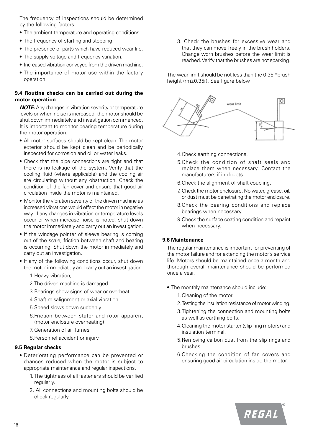The frequency of inspections should be determined by the following factors:

- The ambient temperature and operating conditions.
- The frequency of starting and stopping.
- The presence of parts which have reduced wear life.
- The supply voltage and frequency variation.
- Increased vibration conveyed from the driven machine.
- The importance of motor use within the factory operation.

#### **9.4 Routine checks can be carried out during the motor operation**

*NOTE:*Any changes in vibration severity or temperature levels or when noise is increased, the motor should be shut down immediately and investigation commenced. It is important to monitor bearing temperature during the motor operation.

- All motor surfaces should be kept clean. The motor exterior should be kept clean and be periodically inspected for corrosion and oil or water leaks.
- Check that the pipe connections are tight and that there is no leakage of the system. Verify that the cooling fluid (where applicable) and the cooling air are circulating without any obstruction. Check the condition of the fan cover and ensure that good air circulation inside the motor is maintained.
- Monitor the vibration severity of the driven machine as increased vibrations would effect the motor in negative way. If any changes in vibration or temperature levels occur or when increase noise is noted, shut down the motor immediately and carry out an investigation.
- If the windage pointer of sleeve bearing is coming out of the scale, friction between shaft and bearing is occurring. Shut down the motor immediately and carry out an investigation.
- If any of the following conditions occur, shut down the motor immediately and carry out an investigation.
	- 1. Heavy vibration,
	- 2.The driven machine is damaged
	- 3.Bearings show signs of wear or overheat
	- 4.Shaft misalignment or axial vibration
	- 5.Speed slows down suddenly
	- 6.Friction between stator and rotor apparent (motor enclosure overheating)
	- 7. Generation of air fumes
	- 8.Personnel accident or injury

## **9.5 Regular checks**

- Deteriorating performance can be prevented or chances reduced when the motor is subject to appropriate maintenance and regular inspections.
	- 1. The tightness of all fasteners should be verified regularly.
	- 2. All connections and mounting bolts should be check regularly.

3. Check the brushes for excessive wear and that they can move freely in the brush holders. Change worn brushes before the wear limit is reached. Verify that the brushes are not sparking.

The wear limit should be not less than the 0.35 \*brush height (rm≥0.35r). See figure below



- 4.Check earthing connections.
- 5.Check the condition of shaft seals and replace them when necessary. Contact the manufacturers if in doubts.
- 6.Check the alignment of shaft coupling.
- 7. Check the motor enclosure. No water, grease, oil, or dust must be penetrating the motor enclosure.
- 8.Check the bearing conditions and replace bearings when necessary.
- 9.Check the surface coating condition and repaint when necessary.

#### **9.6 Maintenance**

The regular maintenance is important for preventing of the motor failure and for extending the motor's service life. Motors should be maintained once a month and thorough overall maintenance should be performed once a year.

- The monthly maintenance should include:
	- 1.Cleaning of the motor.
	- 2.Testing the insulation resistance of motor winding.
	- 3.Tightening the connection and mounting bolts as well as earthing bolts.
	- 4.Cleaning the motor starter (slip-ring motors) and insulation terminal.
	- 5.Removing carbon dust from the slip rings and brushes.
	- 6.Checking the condition of fan covers and ensuring good air circulation inside the motor.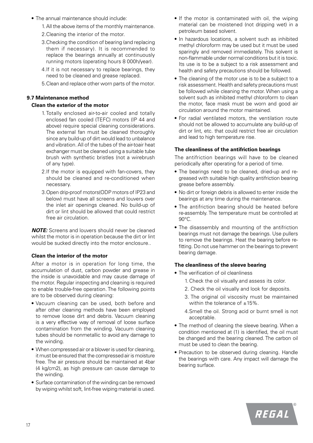- The annual maintenance should include:
	- 1.All the above items of the monthly maintenance.
	- 2.Cleaning the interior of the motor.
	- 3.Checking the condition of bearing (and replacing them if necessary). It is recommended to replace the bearings annually at continuously running motors (operating hours 8 000h/year).
	- 4.If it is not necessary to replace bearings, they need to be cleaned and grease replaced.
	- 5.Clean and replace other worn parts of the motor.

#### **9.7 Maintenance method**

#### **Clean the exterior of the motor**

- 1. Totally enclosed air-to-air cooled and totally enclosed fan cooled (TEFC) motors (IP 44 and above) require special cleaning considerations. The external fan must be cleaned thoroughly since any build-up of dirt would lead to unbalance and vibration. All of the tubes of the air-toair heat exchanger must be cleaned using a suitable tube brush with synthetic bristles (not a wirebrush of any type).
- 2.If the motor is equipped with fan-covers, they should be cleaned and re-conditioned when necessary.
- 3.Open drip-proof motors(ODP motors of IP23 and below) must have all screens and louvers over the inlet air openings cleaned. No build-up of dirt or lint should be allowed that could restrict free air circulation.

*NOTE:* Screens and louvers should never be cleaned whilst the motor is in operation because the dirt or lint would be sucked directly into the motor enclosure..

#### **Clean the interior of the motor**

After a motor is in operation for long time, the accumulation of dust, carbon powder and grease in the inside is unavoidable and may cause damage of the motor. Regular inspecting and cleaning is required to enable trouble-free operation. The following points are to be observed during cleaning:

- Vacuum cleaning can be used, both before and after other cleaning methods have been employed to remove loose dirt and debris. Vacuum cleaning is a very effective way of removal of loose surface contamination from the winding. Vacuum cleaning tubes should be nonmetallic to avoid any damage to the winding.
- When compressed air or a blower is used for cleaning, it must be ensured that the compressed air is moisture free. The air pressure should be maintained at 4bar (4 kg/cm2), as high pressure can cause damage to the winding.
- Surface contamination of the winding can be removed by wiping whilst soft, lint-free wiping material is used.
- If the motor is contaminated with oil, the wiping material can be moistened (not dripping wet) in a petroleum based solvent.
- In hazardous locations, a solvent such as inhibited methyl chloroform may be used but it must be used sparingly and removed immediately. This solvent is non-flammable under normal conditions but it is toxic. Its use is to be a subject to a risk assessment and health and safety precautions should be followed.
- The cleaning of the motor use is to be a subject to a risk assessment. Health and safety precautions must be followed while cleaning the motor. When using a solvent such as inhibited methyl chloroform to clean the motor, face mask must be worn and good air circulation around the motor maintained.
- For radial ventilated motors, the ventilation route should not be allowed to accumulate any build-up of dirt or lint, etc. that could restrict free air circulation and lead to high temperature rise.

#### **The cleanliness of the antifriction bearings**

The antifriction bearings will have to be cleaned periodically after operating for a period of time.

- The bearings need to be cleaned, dried-up and regreased with suitable high quality antifriction bearing grease before assembly.
- No dirt or foreign debris is allowed to enter inside the bearings at any time during the maintenance.
- The antifriction bearing should be heated before re-assembly. The temperature must be controlled at 90°C.
- The disassembly and mounting of the antifriction bearings must not damage the bearings. Use pullers to remove the bearings. Heat the bearing before refitting. Do not use hammer on the bearings to prevent bearing damage.

#### **The cleanliness of the sleeve bearing**

- The verification of oil cleanliness
	- 1.Check the oil visually and assess its color.
	- 2. Check the oil visually and look for deposits.
	- 3. The original oil viscosity must be maintained within the tolerance of  $+15\%$ .
	- 4.Smell the oil. Strong acid or burnt smell is not acceptable.
- The method of cleaning the sleeve bearing. When a condition mentioned at (1) is identified, the oil must be changed and the bearing cleaned. The carbon oil must be used to clean the bearing.
- Precaution to be observed during cleaning. Handle the bearings with care. Any impact will damage the bearing surface.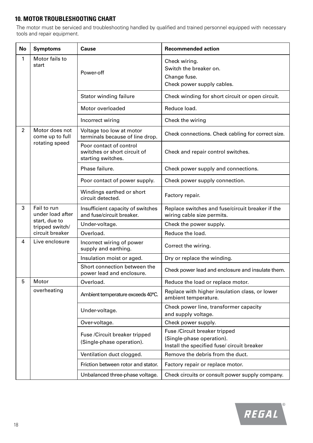## **10. MOTOR TROUBLESHOOTING CHART**

The motor must be serviced and troubleshooting handled by qualified and trained personnel equipped with necessary tools and repair equipment.

| <b>No</b>      | <b>Symptoms</b>                   | Cause                                                                         | <b>Recommended action</b>                                                                                  |  |
|----------------|-----------------------------------|-------------------------------------------------------------------------------|------------------------------------------------------------------------------------------------------------|--|
| 1              | Motor fails to<br>start           | Power-off                                                                     | Check wiring.<br>Switch the breaker on.<br>Change fuse.<br>Check power supply cables.                      |  |
|                |                                   | Stator winding failure                                                        | Check winding for short circuit or open circuit.                                                           |  |
|                |                                   | Motor overloaded                                                              | Reduce load.                                                                                               |  |
|                |                                   | Incorrect wiring                                                              | Check the wiring                                                                                           |  |
| $\overline{2}$ | Motor does not<br>come up to full | Voltage too low at motor<br>terminals because of line drop.                   | Check connections. Check cabling for correct size.                                                         |  |
|                | rotating speed                    | Poor contact of control<br>switches or short circuit of<br>starting switches. | Check and repair control switches.                                                                         |  |
|                |                                   | Phase failure.                                                                | Check power supply and connections.                                                                        |  |
|                |                                   | Poor contact of power supply.                                                 | Check power supply connection.                                                                             |  |
|                |                                   | Windings earthed or short<br>circuit detected.                                | Factory repair.                                                                                            |  |
| 3              | Fail to run<br>under load after   | Insufficient capacity of switches<br>and fuse/circuit breaker.                | Replace switches and fuse/circuit breaker if the<br>wiring cable size permits.                             |  |
|                | start, due to<br>tripped switch/  | Under-voltage.                                                                | Check the power supply.                                                                                    |  |
|                | circuit breaker                   | Overload.                                                                     | Reduce the load.                                                                                           |  |
| 4              | Live enclosure                    | Incorrect wiring of power<br>supply and earthing.                             | Correct the wiring.                                                                                        |  |
|                |                                   | Insulation moist or aged.                                                     | Dry or replace the winding.                                                                                |  |
|                |                                   | Short connection between the<br>power lead and enclosure.                     | Check power lead and enclosure and insulate them.                                                          |  |
| 5              | Motor                             | Overload.                                                                     | Reduce the load or replace motor.                                                                          |  |
|                | overheating                       | Ambient temperature exceeds 40°C.                                             | Replace with higher insulation class, or lower<br>ambient temperature.                                     |  |
|                |                                   | Under-voltage.                                                                | Check power line, transformer capacity<br>and supply voltage.                                              |  |
|                |                                   | Over-voltage.                                                                 | Check power supply.                                                                                        |  |
|                |                                   | Fuse /Circuit breaker tripped<br>(Single-phase operation).                    | Fuse / Circuit breaker tripped<br>(Single-phase operation).<br>Install the specified fuse/ circuit breaker |  |
|                |                                   | Ventilation duct clogged.                                                     | Remove the debris from the duct.                                                                           |  |
|                |                                   | Friction between rotor and stator.                                            | Factory repair or replace motor.                                                                           |  |
|                |                                   | Unbalanced three-phase voltage.                                               | Check circuits or consult power supply company.                                                            |  |

 $\bigcirc$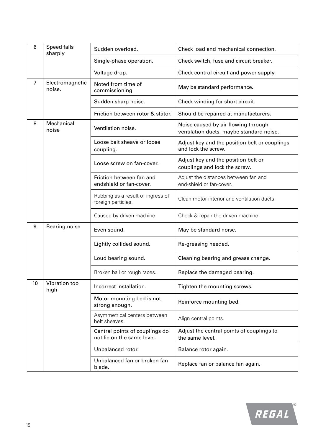| 6               | Speed falls<br>sharply    | Sudden overload.                                             | Check load and mechanical connection.                                           |
|-----------------|---------------------------|--------------------------------------------------------------|---------------------------------------------------------------------------------|
|                 |                           | Single-phase operation.                                      | Check switch, fuse and circuit breaker.                                         |
|                 |                           | Voltage drop.                                                | Check control circuit and power supply.                                         |
| $\overline{7}$  | Electromagnetic<br>noise. | Noted from time of<br>commissioning                          | May be standard performance.                                                    |
|                 |                           | Sudden sharp noise.                                          | Check winding for short circuit.                                                |
|                 |                           | Friction between rotor & stator.                             | Should be repaired at manufacturers.                                            |
| 8               | Mechanical<br>noise       | Ventilation noise.                                           | Noise caused by air flowing through<br>ventilation ducts, maybe standard noise. |
|                 |                           | Loose belt sheave or loose<br>coupling.                      | Adjust key and the position belt or couplings<br>and lock the screw.            |
|                 |                           | Loose screw on fan-cover.                                    | Adjust key and the position belt or<br>couplings and lock the screw.            |
|                 |                           | Friction between fan and<br>endshield or fan-cover.          | Adjust the distances between fan and<br>end-shield or fan-cover.                |
|                 |                           | Rubbing as a result of ingress of<br>foreign particles.      | Clean motor interior and ventilation ducts.                                     |
|                 |                           | Caused by driven machine                                     | Check & repair the driven machine                                               |
| 9               | <b>Bearing noise</b>      | Even sound.                                                  | May be standard noise.                                                          |
|                 |                           | Lightly collided sound.                                      | Re-greasing needed.                                                             |
|                 |                           | Loud bearing sound.                                          | Cleaning bearing and grease change.                                             |
|                 |                           | Broken ball or rough races.                                  | Replace the damaged bearing.                                                    |
| 10 <sup>1</sup> | Vibration too<br>high     | Incorrect installation.                                      | Tighten the mounting screws.                                                    |
|                 |                           | Motor mounting bed is not<br>strong enough.                  | Reinforce mounting bed.                                                         |
|                 |                           | Asymmetrical centers between<br>belt sheaves.                | Align central points.                                                           |
|                 |                           | Central points of couplings do<br>not lie on the same level. | Adjust the central points of couplings to<br>the same level.                    |
|                 |                           | Unbalanced rotor.                                            | Balance rotor again.                                                            |
|                 |                           | Unbalanced fan or broken fan<br>blade.                       | Replace fan or balance fan again.                                               |

 $\bigcirc$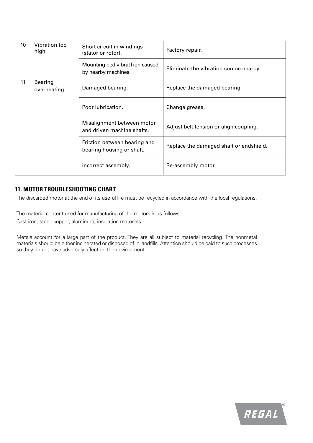| 10 | Vibration too<br>high         | Short circuit in windings<br>(stator or rotor).           | Factory repair.                         |
|----|-------------------------------|-----------------------------------------------------------|-----------------------------------------|
|    |                               | Mounting bed vibrat Tion caused<br>by nearby machines.    | Eliminate the vibration source nearby.  |
| 11 | <b>Bearing</b><br>overheating | Damaged bearing.                                          | Replace the damaged bearing.            |
|    |                               | Poor lubrication.                                         | Change grease.                          |
|    |                               | Misalignment between motor<br>and driven machine shafts.  | Adjust belt tension or align coupling.  |
|    |                               | Friction between bearing and<br>bearing housing or shaft. | Replace the damaged shaft or endshield. |
|    |                               | Incorrect assembly.                                       | Re-assembly motor.                      |

### **11. MOTOR TROUBLESHOOTING CHART**

The discarded motor at the end of its useful life must be recycled in accordance with the local regulations.

The material content used for manufacturing of the motors is as follows: Cast iron, steel, copper, aluminum, insulation materials.

Metals account for a large part of the product. They are all subject to material recycling. The nonmetal materials should be either incinerated or disposed of in landfills. Attention should be paid to such processes so they do not have adversely affect on the environment.